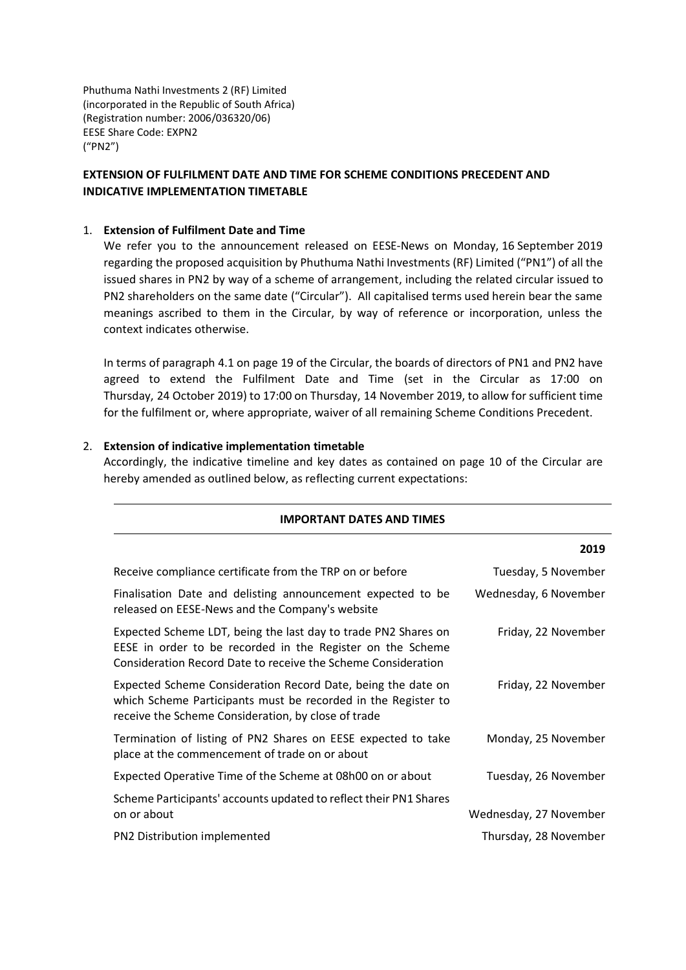Phuthuma Nathi Investments 2 (RF) Limited (incorporated in the Republic of South Africa) (Registration number: 2006/036320/06) EESE Share Code: EXPN2 ("PN2")

# **EXTENSION OF FULFILMENT DATE AND TIME FOR SCHEME CONDITIONS PRECEDENT AND INDICATIVE IMPLEMENTATION TIMETABLE**

#### 1. **Extension of Fulfilment Date and Time**

We refer you to the announcement released on EESE-News on Monday, 16 September 2019 regarding the proposed acquisition by Phuthuma Nathi Investments (RF) Limited ("PN1") of all the issued shares in PN2 by way of a scheme of arrangement, including the related circular issued to PN2 shareholders on the same date ("Circular"). All capitalised terms used herein bear the same meanings ascribed to them in the Circular, by way of reference or incorporation, unless the context indicates otherwise.

In terms of paragraph 4.1 on page 19 of the Circular, the boards of directors of PN1 and PN2 have agreed to extend the Fulfilment Date and Time (set in the Circular as 17:00 on Thursday, 24 October 2019) to 17:00 on Thursday, 14 November 2019, to allow for sufficient time for the fulfilment or, where appropriate, waiver of all remaining Scheme Conditions Precedent.

#### 2. **Extension of indicative implementation timetable**

Accordingly, the indicative timeline and key dates as contained on page 10 of the Circular are hereby amended as outlined below, as reflecting current expectations:

|                                                                                                                                                                                               | 2019                   |
|-----------------------------------------------------------------------------------------------------------------------------------------------------------------------------------------------|------------------------|
| Receive compliance certificate from the TRP on or before                                                                                                                                      | Tuesday, 5 November    |
| Finalisation Date and delisting announcement expected to be<br>released on EESE-News and the Company's website                                                                                | Wednesday, 6 November  |
| Expected Scheme LDT, being the last day to trade PN2 Shares on<br>EESE in order to be recorded in the Register on the Scheme<br>Consideration Record Date to receive the Scheme Consideration | Friday, 22 November    |
| Expected Scheme Consideration Record Date, being the date on<br>which Scheme Participants must be recorded in the Register to<br>receive the Scheme Consideration, by close of trade          | Friday, 22 November    |
| Termination of listing of PN2 Shares on EESE expected to take<br>place at the commencement of trade on or about                                                                               | Monday, 25 November    |
| Expected Operative Time of the Scheme at 08h00 on or about                                                                                                                                    | Tuesday, 26 November   |
| Scheme Participants' accounts updated to reflect their PN1 Shares<br>on or about                                                                                                              | Wednesday, 27 November |
| PN2 Distribution implemented                                                                                                                                                                  | Thursday, 28 November  |
|                                                                                                                                                                                               |                        |

### **IMPORTANT DATES AND TIMES**